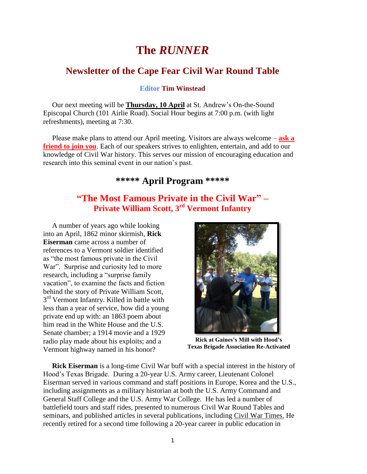# **The** *RUNNER*

# **Newsletter of the Cape Fear Civil War Round Table**

**Editor Tim Winstead**

 Our next meeting will be **Thursday, 10 April** at St. Andrew's On-the-Sound Episcopal Church (101 Airlie Road). Social Hour begins at 7:00 p.m. (with light refreshments), meeting at 7:30.

 Please make plans to attend our April meeting. Visitors are always welcome – **ask a friend to join you**. Each of our speakers strives to enlighten, entertain, and add to our knowledge of Civil War history. This serves our mission of encouraging education and research into this seminal event in our nation's past.

# **\*\*\*\*\* April Program \*\*\*\*\***

# **"The Most Famous Private in the Civil War" – Private William Scott, 3rd Vermont Infantry**

 A number of years ago while looking into an April, 1862 minor skirmish, **Rick Eiserman** came across a number of references to a Vermont soldier identified as "the most famous private in the Civil War". Surprise and curiosity led to more research, including a "surprise family vacation", to examine the facts and fiction behind the story of Private William Scott, 3<sup>rd</sup> Vermont Infantry. Killed in battle with less than a year of service, how did a young private end up with: an 1863 poem about him read in the White House and the U.S. Senate chamber; a 1914 movie and a 1929 radio play made about his exploits; and a Vermont highway named in his honor?



**Rick at Gaines's Mill with Hood's Texas Brigade Association Re-Activated**

 **Rick Eiserman** is a long-time Civil War buff with a special interest in the history of Hood's Texas Brigade. During a 20-year U.S. Army career, Lieutenant Colonel Eiserman served in various command and staff positions in Europe, Korea and the U.S., including assignments as a military historian at both the U.S. Army Command and General Staff College and the U.S. Army War College. He has led a number of battlefield tours and staff rides, presented to numerous Civil War Round Tables and seminars, and published articles in several publications, including Civil War Times. He recently retired for a second time following a 20-year career in public education in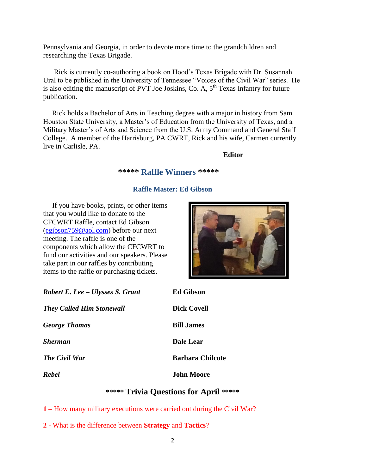Pennsylvania and Georgia, in order to devote more time to the grandchildren and researching the Texas Brigade.

 Rick is currently co-authoring a book on Hood's Texas Brigade with Dr. Susannah Ural to be published in the University of Tennessee "Voices of the Civil War" series. He is also editing the manuscript of PVT Joe Joskins, Co. A,  $5<sup>th</sup>$  Texas Infantry for future publication.

 Rick holds a Bachelor of Arts in Teaching degree with a major in history from Sam Houston State University, a Master's of Education from the University of Texas, and a Military Master's of Arts and Science from the U.S. Army Command and General Staff College. A member of the Harrisburg, PA CWRT, Rick and his wife, Carmen currently live in Carlisle, PA.

#### **Editor**

### **\*\*\*\*\* Raffle Winners \*\*\*\*\***

## **Raffle Master: Ed Gibson**

 If you have books, prints, or other items that you would like to donate to the CFCWRT Raffle, contact Ed Gibson [\(egibson759@aol.com\)](mailto:egibson759@aol.com) before our next meeting. The raffle is one of the components which allow the CFCWRT to fund our activities and our speakers. Please take part in our raffles by contributing items to the raffle or purchasing tickets.



| Robert E. Lee – Ulysses S. Grant | <b>Ed Gibson</b>        |
|----------------------------------|-------------------------|
| <b>They Called Him Stonewall</b> | Dick Covell             |
| <b>George Thomas</b>             | <b>Bill James</b>       |
| <b>Sherman</b>                   | <b>Dale Lear</b>        |
| <b>The Civil War</b>             | <b>Barbara Chilcote</b> |
| Rebel                            | <b>John Moore</b>       |

## **\*\*\*\*\* Trivia Questions for April \*\*\*\*\***

**1 –** How many military executions were carried out during the Civil War?

**2 -** What is the difference between **Strategy** and **Tactics**?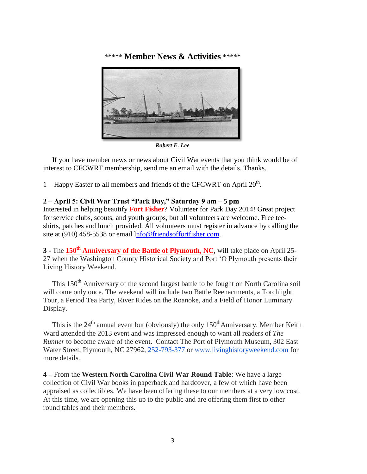\*\*\*\*\* **Member News & Activities** \*\*\*\*\*



*Robert E. Lee*

 If you have member news or news about Civil War events that you think would be of interest to CFCWRT membership, send me an email with the details. Thanks.

 $1 -$  Happy Easter to all members and friends of the CFCWRT on April  $20<sup>th</sup>$ .

#### **2 – April 5: Civil War Trust "Park Day," Saturday 9 am – 5 pm**

Interested in helping beautify **Fort Fisher**? Volunteer for Park Day 2014! Great project for service clubs, scouts, and youth groups, but all volunteers are welcome. Free teeshirts, patches and lunch provided. All volunteers must register in advance by calling the site at (910) 458-5538 or email [lnfo@friendsoffortfisher.com.](mailto:nfo@friendsoffortfisher.com)

**3 -** The **150th Anniversary of the Battle of Plymouth, NC**, will take place on April 25- 27 when the Washington County Historical Society and Port 'O Plymouth presents their Living History Weekend.

This 150<sup>th</sup> Anniversary of the second largest battle to be fought on North Carolina soil will come only once. The weekend will include two Battle Reenactments, a Torchlight Tour, a Period Tea Party, River Rides on the Roanoke, and a Field of Honor Luminary Display.

This is the  $24<sup>th</sup>$  annual event but (obviously) the only  $150<sup>th</sup>$ Anniversary. Member Keith Ward attended the 2013 event and was impressed enough to want all readers of *The Runner* to become aware of the event. Contact The Port of Plymouth Museum, 302 East Water Street, Plymouth, NC 27962, [252-793-377](tel:252-793-1377) or www[,livinghistoryweekend.com](http://livinghistoryweekend.com/) for more details.

**4 –** From the **Western North Carolina Civil War Round Table**: We have a large collection of Civil War books in paperback and hardcover, a few of which have been appraised as collectibles. We have been offering these to our members at a very low cost. At this time, we are opening this up to the public and are offering them first to other round tables and their members.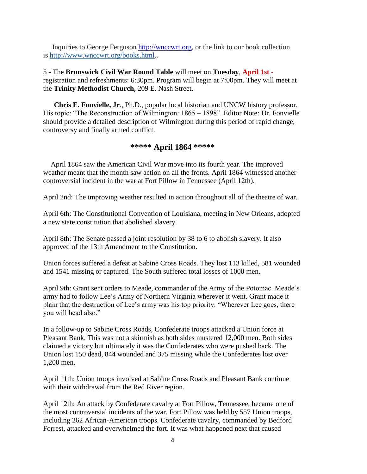Inquiries to George Ferguson [http://wnccwrt.org,](http://wnccwrt.org/) or the link to our book collection is [http://www.wnccwrt.org/books.html.](http://www.wnccwrt.org/books.html).

5 - The **Brunswick Civil War Round Table** will meet on **Tuesday**, **April 1st**  registration and refreshments: 6:30pm. Program will begin at 7:00pm. They will meet at the **Trinity Methodist Church,** 209 E. Nash Street.

 **Chris E. Fonvielle, Jr**., Ph.D., popular local historian and UNCW history professor. His topic: "The Reconstruction of Wilmington: 1865 – 1898". Editor Note: Dr. Fonvielle should provide a detailed description of Wilmington during this period of rapid change, controversy and finally armed conflict.

## **\*\*\*\*\* April 1864 \*\*\*\*\***

 April 1864 saw the American Civil War move into its fourth year. The improved weather meant that the month saw action on all the fronts. April 1864 witnessed another controversial incident in the war at Fort Pillow in Tennessee (April 12th).

April 2nd: The improving weather resulted in action throughout all of the theatre of war.

April 6th: The Constitutional Convention of Louisiana, meeting in New Orleans, adopted a new state constitution that abolished slavery.

April 8th: The Senate passed a joint resolution by 38 to 6 to abolish slavery. It also approved of the 13th Amendment to the Constitution.

Union forces suffered a defeat at Sabine Cross Roads. They lost 113 killed, 581 wounded and 1541 missing or captured. The South suffered total losses of 1000 men.

April 9th: Grant sent orders to Meade, commander of the Army of the Potomac. Meade's army had to follow Lee's Army of Northern Virginia wherever it went. Grant made it plain that the destruction of Lee's army was his top priority. "Wherever Lee goes, there you will head also."

In a follow-up to Sabine Cross Roads, Confederate troops attacked a Union force at Pleasant Bank. This was not a skirmish as both sides mustered 12,000 men. Both sides claimed a victory but ultimately it was the Confederates who were pushed back. The Union lost 150 dead, 844 wounded and 375 missing while the Confederates lost over 1,200 men.

April 11th: Union troops involved at Sabine Cross Roads and Pleasant Bank continue with their withdrawal from the Red River region.

April 12th: An attack by Confederate cavalry at Fort Pillow, Tennessee, became one of the most controversial incidents of the war. Fort Pillow was held by 557 Union troops, including 262 African-American troops. Confederate cavalry, commanded by Bedford Forrest, attacked and overwhelmed the fort. It was what happened next that caused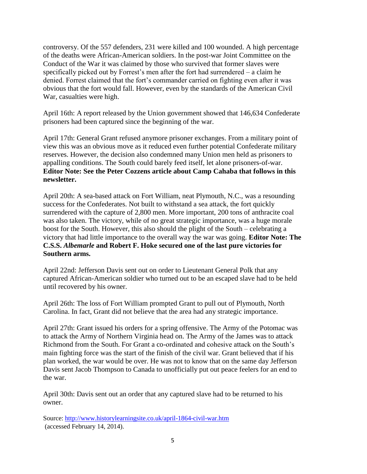controversy. Of the 557 defenders, 231 were killed and 100 wounded. A high percentage of the deaths were African-American soldiers. In the post-war Joint Committee on the Conduct of the War it was claimed by those who survived that former slaves were specifically picked out by Forrest's men after the fort had surrendered – a claim he denied. Forrest claimed that the fort's commander carried on fighting even after it was obvious that the fort would fall. However, even by the standards of the American Civil War, casualties were high.

April 16th: A report released by the Union government showed that 146,634 Confederate prisoners had been captured since the beginning of the war.

April 17th: General Grant refused anymore prisoner exchanges. From a military point of view this was an obvious move as it reduced even further potential Confederate military reserves. However, the decision also condemned many Union men held as prisoners to appalling conditions. The South could barely feed itself, let alone prisoners-of-war. **Editor Note: See the Peter Cozzens article about Camp Cahaba that follows in this newsletter.**

April 20th: A sea-based attack on Fort William, neat Plymouth, N.C., was a resounding success for the Confederates. Not built to withstand a sea attack, the fort quickly surrendered with the capture of 2,800 men. More important, 200 tons of anthracite coal was also taken. The victory, while of no great strategic importance, was a huge morale boost for the South. However, this also should the plight of the South – celebrating a victory that had little importance to the overall way the war was going. **Editor Note: The C.S.S.** *Albemarle* **and Robert F. Hoke secured one of the last pure victories for Southern arms.** 

April 22nd: Jefferson Davis sent out on order to Lieutenant General Polk that any captured African-American soldier who turned out to be an escaped slave had to be held until recovered by his owner.

April 26th: The loss of Fort William prompted Grant to pull out of Plymouth, North Carolina. In fact, Grant did not believe that the area had any strategic importance.

April 27th: Grant issued his orders for a spring offensive. The Army of the Potomac was to attack the Army of Northern Virginia head on. The Army of the James was to attack Richmond from the South. For Grant a co-ordinated and cohesive attack on the South's main fighting force was the start of the finish of the civil war. Grant believed that if his plan worked, the war would be over. He was not to know that on the same day Jefferson Davis sent Jacob Thompson to Canada to unofficially put out peace feelers for an end to the war.

April 30th: Davis sent out an order that any captured slave had to be returned to his owner.

Source:<http://www.historylearningsite.co.uk/april-1864-civil-war.htm> (accessed February 14, 2014).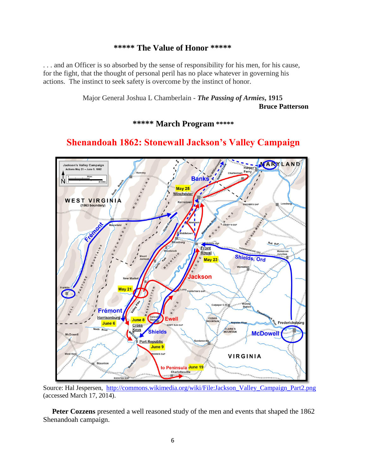### **\*\*\*\*\* The Value of Honor \*\*\*\*\***

. . . and an Officer is so absorbed by the sense of responsibility for his men, for his cause, for the fight, that the thought of personal peril has no place whatever in governing his actions. The instinct to seek safety is overcome by the instinct of honor.

> Major General Joshua L Chamberlain - *The Passing of Armies***, 1915 Bruce Patterson**

> > **\*\*\*\*\* March Program \*\*\*\*\***

# **Shenandoah 1862: Stonewall Jackson's Valley Campaign**



Source: Hal Jespersen, [http://commons.wikimedia.org/wiki/File:Jackson\\_Valley\\_Campaign\\_Part2.png](http://commons.wikimedia.org/wiki/File:Jackson_Valley_Campaign_Part2.png) (accessed March 17, 2014).

Peter Cozzens presented a well reasoned study of the men and events that shaped the 1862 Shenandoah campaign.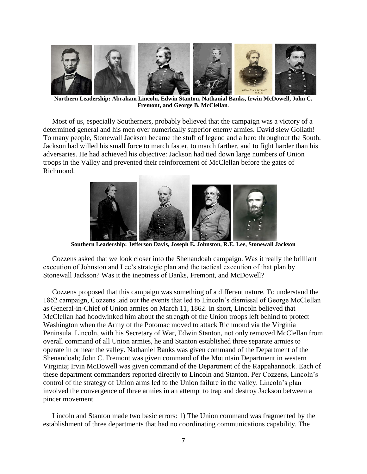

**Northern Leadership: Abraham Lincoln, Edwin Stanton, Nathanial Banks, Irwin McDowell, John C. Fremont, and George B. McClellan**.

 Most of us, especially Southerners, probably believed that the campaign was a victory of a determined general and his men over numerically superior enemy armies. David slew Goliath! To many people, Stonewall Jackson became the stuff of legend and a hero throughout the South. Jackson had willed his small force to march faster, to march farther, and to fight harder than his adversaries. He had achieved his objective: Jackson had tied down large numbers of Union troops in the Valley and prevented their reinforcement of McClellan before the gates of Richmond.



**Southern Leadership: Jefferson Davis, Joseph E. Johnston, R.E. Lee, Stonewall Jackson**

 Cozzens asked that we look closer into the Shenandoah campaign. Was it really the brilliant execution of Johnston and Lee's strategic plan and the tactical execution of that plan by Stonewall Jackson? Was it the ineptness of Banks, Fremont, and McDowell?

 Cozzens proposed that this campaign was something of a different nature. To understand the 1862 campaign, Cozzens laid out the events that led to Lincoln's dismissal of George McClellan as General-in-Chief of Union armies on March 11, 1862. In short, Lincoln believed that McClellan had hoodwinked him about the strength of the Union troops left behind to protect Washington when the Army of the Potomac moved to attack Richmond via the Virginia Peninsula. Lincoln, with his Secretary of War, Edwin Stanton, not only removed McClellan from overall command of all Union armies, he and Stanton established three separate armies to operate in or near the valley. Nathaniel Banks was given command of the Department of the Shenandoah; John C. Fremont was given command of the Mountain Department in western Virginia; Irvin McDowell was given command of the Department of the Rappahannock. Each of these department commanders reported directly to Lincoln and Stanton. Per Cozzens, Lincoln's control of the strategy of Union arms led to the Union failure in the valley. Lincoln's plan involved the convergence of three armies in an attempt to trap and destroy Jackson between a pincer movement.

 Lincoln and Stanton made two basic errors: 1) The Union command was fragmented by the establishment of three departments that had no coordinating communications capability. The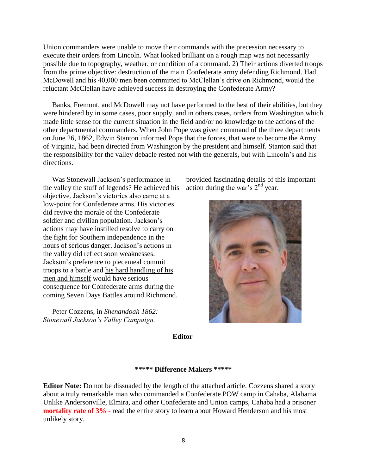Union commanders were unable to move their commands with the precession necessary to execute their orders from Lincoln. What looked brilliant on a rough map was not necessarily possible due to topography, weather, or condition of a command. 2) Their actions diverted troops from the prime objective: destruction of the main Confederate army defending Richmond. Had McDowell and his 40,000 men been committed to McClellan's drive on Richmond, would the reluctant McClellan have achieved success in destroying the Confederate Army?

 Banks, Fremont, and McDowell may not have performed to the best of their abilities, but they were hindered by in some cases, poor supply, and in others cases, orders from Washington which made little sense for the current situation in the field and/or no knowledge to the actions of the other departmental commanders. When John Pope was given command of the three departments on June 26, 1862, Edwin Stanton informed Pope that the forces, that were to become the Army of Virginia, had been directed from Washington by the president and himself. Stanton said that the responsibility for the valley debacle rested not with the generals, but with Lincoln's and his directions.

 Was Stonewall Jackson's performance in the valley the stuff of legends? He achieved his objective. Jackson's victories also came at a low-point for Confederate arms. His victories did revive the morale of the Confederate soldier and civilian population. Jackson's actions may have instilled resolve to carry on the fight for Southern independence in the hours of serious danger. Jackson's actions in the valley did reflect soon weaknesses. Jackson's preference to piecemeal commit troops to a battle and his hard handling of his men and himself would have serious consequence for Confederate arms during the coming Seven Days Battles around Richmond.

 Peter Cozzens, in *Shenandoah 1862: Stonewall Jackson's Valley Campaign,*

provided fascinating details of this important action during the war's  $2<sup>nd</sup>$  year.



**Editor**

#### **\*\*\*\*\* Difference Makers \*\*\*\*\***

**Editor Note:** Do not be dissuaded by the length of the attached article. Cozzens shared a story about a truly remarkable man who commanded a Confederate POW camp in Cahaba, Alabama. Unlike Andersonville, Elmira, and other Confederate and Union camps, Cahaba had a prisoner **mortality rate of 3% -** read the entire story to learn about Howard Henderson and his most unlikely story.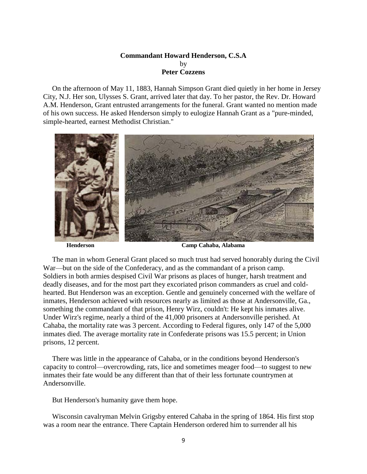#### **Commandant Howard Henderson, C.S.A** by **Peter Cozzens**

 On the afternoon of May 11, 1883, Hannah Simpson Grant died quietly in her home in Jersey City, N.J. Her son, Ulysses S. Grant, arrived later that day. To her pastor, the Rev. Dr. Howard A.M. Henderson, Grant entrusted arrangements for the funeral. Grant wanted no mention made of his own success. He asked Henderson simply to eulogize Hannah Grant as a "pure-minded, simple-hearted, earnest Methodist Christian."



**Henderson Camp Cahaba, Alabama**

 The man in whom General Grant placed so much trust had served honorably during the Civil War—but on the side of the Confederacy, and as the commandant of a prison camp. Soldiers in both armies despised Civil War prisons as places of hunger, harsh treatment and deadly diseases, and for the most part they excoriated prison commanders as cruel and coldhearted. But Henderson was an exception. Gentle and genuinely concerned with the welfare of inmates, Henderson achieved with resources nearly as limited as those at Andersonville, Ga., something the commandant of that prison, Henry Wirz, couldn't: He kept his inmates alive. Under Wirz's regime, nearly a third of the 41,000 prisoners at Andersonville perished. At Cahaba, the mortality rate was 3 percent. According to Federal figures, only 147 of the 5,000 inmates died. The average mortality rate in Confederate prisons was 15.5 percent; in Union prisons, 12 percent.

 There was little in the appearance of Cahaba, or in the conditions beyond Henderson's capacity to control—overcrowding, rats, lice and sometimes meager food—to suggest to new inmates their fate would be any different than that of their less fortunate countrymen at Andersonville.

But Henderson's humanity gave them hope.

 Wisconsin cavalryman Melvin Grigsby entered Cahaba in the spring of 1864. His first stop was a room near the entrance. There Captain Henderson ordered him to surrender all his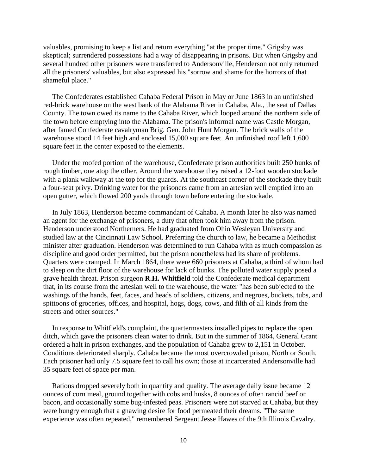valuables, promising to keep a list and return everything "at the proper time." Grigsby was skeptical; surrendered possessions had a way of disappearing in prisons. But when Grigsby and several hundred other prisoners were transferred to Andersonville, Henderson not only returned all the prisoners' valuables, but also expressed his "sorrow and shame for the horrors of that shameful place."

 The Confederates established Cahaba Federal Prison in May or June 1863 in an unfinished red-brick warehouse on the west bank of the Alabama River in Cahaba, Ala., the seat of Dallas County. The town owed its name to the Cahaba River, which looped around the northern side of the town before emptying into the Alabama. The prison's informal name was Castle Morgan, after famed Confederate cavalryman Brig. Gen. John Hunt Morgan. The brick walls of the warehouse stood 14 feet high and enclosed 15,000 square feet. An unfinished roof left 1,600 square feet in the center exposed to the elements.

 Under the roofed portion of the warehouse, Confederate prison authorities built 250 bunks of rough timber, one atop the other. Around the warehouse they raised a 12-foot wooden stockade with a plank walkway at the top for the guards. At the southeast corner of the stockade they built a four-seat privy. Drinking water for the prisoners came from an artesian well emptied into an open gutter, which flowed 200 yards through town before entering the stockade.

 In July 1863, Henderson became commandant of Cahaba. A month later he also was named an agent for the exchange of prisoners, a duty that often took him away from the prison. Henderson understood Northerners. He had graduated from Ohio Wesleyan University and studied law at the Cincinnati Law School. Preferring the church to law, he became a Methodist minister after graduation. Henderson was determined to run Cahaba with as much compassion as discipline and good order permitted, but the prison nonetheless had its share of problems. Quarters were cramped. In March 1864, there were 660 prisoners at Cahaba, a third of whom had to sleep on the dirt floor of the warehouse for lack of bunks. The polluted water supply posed a grave health threat. Prison surgeon **R.H. Whitfield** told the Confederate medical department that, in its course from the artesian well to the warehouse, the water "has been subjected to the washings of the hands, feet, faces, and heads of soldiers, citizens, and negroes, buckets, tubs, and spittoons of groceries, offices, and hospital, hogs, dogs, cows, and filth of all kinds from the streets and other sources."

 In response to Whitfield's complaint, the quartermasters installed pipes to replace the open ditch, which gave the prisoners clean water to drink. But in the summer of 1864, General Grant ordered a halt in prison exchanges, and the population of Cahaba grew to 2,151 in October. Conditions deteriorated sharply. Cahaba became the most overcrowded prison, North or South. Each prisoner had only 7.5 square feet to call his own; those at incarcerated Andersonville had 35 square feet of space per man.

 Rations dropped severely both in quantity and quality. The average daily issue became 12 ounces of corn meal, ground together with cobs and husks, 8 ounces of often rancid beef or bacon, and occasionally some bug-infested peas. Prisoners were not starved at Cahaba, but they were hungry enough that a gnawing desire for food permeated their dreams. "The same experience was often repeated," remembered Sergeant Jesse Hawes of the 9th Illinois Cavalry.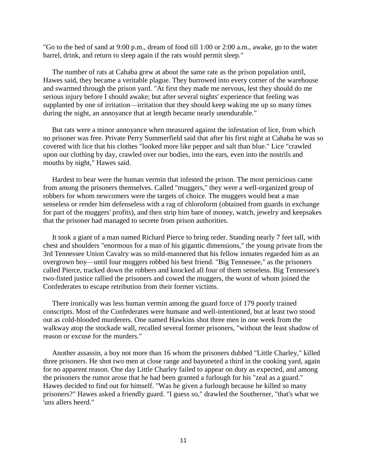"Go to the bed of sand at 9:00 p.m., dream of food till 1:00 or 2:00 a.m., awake, go to the water barrel, drink, and return to sleep again if the rats would permit sleep."

 The number of rats at Cahaba grew at about the same rate as the prison population until, Hawes said, they became a veritable plague. They burrowed into every corner of the warehouse and swarmed through the prison yard. "At first they made me nervous, lest they should do me serious injury before I should awake; but after several nights' experience that feeling was supplanted by one of irritation—irritation that they should keep waking me up so many times during the night, an annoyance that at length became nearly unendurable."

 But rats were a minor annoyance when measured against the infestation of lice, from which no prisoner was free. Private Perry Summerfield said that after his first night at Cahaba he was so covered with lice that his clothes "looked more like pepper and salt than blue." Lice "crawled upon our clothing by day, crawled over our bodies, into the ears, even into the nostrils and mouths by night," Hawes said.

 Hardest to bear were the human vermin that infested the prison. The most pernicious came from among the prisoners themselves. Called "muggers," they were a well-organized group of robbers for whom newcomers were the targets of choice. The muggers would beat a man senseless or render him defenseless with a rag of chloroform (obtained from guards in exchange for part of the muggers' profits), and then strip him bare of money, watch, jewelry and keepsakes that the prisoner had managed to secrete from prison authorities.

 It took a giant of a man named Richard Pierce to bring order. Standing nearly 7 feet tall, with chest and shoulders "enormous for a man of his gigantic dimensions," the young private from the 3rd Tennessee Union Cavalry was so mild-mannered that his fellow inmates regarded him as an overgrown boy—until four muggers robbed his best friend. "Big Tennessee," as the prisoners called Pierce, tracked down the robbers and knocked all four of them senseless. Big Tennessee's two-fisted justice rallied the prisoners and cowed the muggers, the worst of whom joined the Confederates to escape retribution from their former victims.

 There ironically was less human vermin among the guard force of 179 poorly trained conscripts. Most of the Confederates were humane and well-intentioned, but at least two stood out as cold-blooded murderers. One named Hawkins shot three men in one week from the walkway atop the stockade wall, recalled several former prisoners, "without the least shadow of reason or excuse for the murders."

 Another assassin, a boy not more than 16 whom the prisoners dubbed "Little Charley," killed three prisoners. He shot two men at close range and bayoneted a third in the cooking yard, again for no apparent reason. One day Little Charley failed to appear on duty as expected, and among the prisoners the rumor arose that he had been granted a furlough for his "zeal as a guard." Hawes decided to find out for himself. "Was he given a furlough because he killed so many prisoners?" Hawes asked a friendly guard. "I guess so," drawled the Southerner, "that's what we 'uns allers heerd."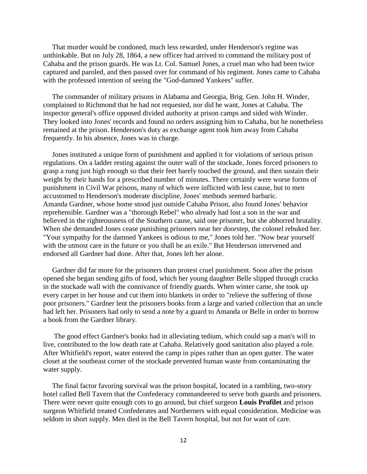That murder would be condoned, much less rewarded, under Henderson's regime was unthinkable. But on July 28, 1864, a new officer had arrived to command the military post of Cahaba and the prison guards. He was Lt. Col. Samuel Jones, a cruel man who had been twice captured and paroled, and then passed over for command of his regiment. Jones came to Cahaba with the professed intention of seeing the "God-damned Yankees" suffer.

 The commander of military prisons in Alabama and Georgia, Brig. Gen. John H. Winder, complained to Richmond that he had not requested, nor did he want, Jones at Cahaba. The inspector general's office opposed divided authority at prison camps and sided with Winder. They looked into Jones' records and found no orders assigning him to Cahaba, but he nonetheless remained at the prison. Henderson's duty as exchange agent took him away from Cahaba frequently. In his absence, Jones was in charge.

 Jones instituted a unique form of punishment and applied it for violations of serious prison regulations. On a ladder resting against the outer wall of the stockade, Jones forced prisoners to grasp a rung just high enough so that their feet barely touched the ground, and then sustain their weight by their hands for a prescribed number of minutes. There certainly were worse forms of punishment in Civil War prisons, many of which were inflicted with less cause, but to men accustomed to Henderson's moderate discipline, Jones' methods seemed barbaric. Amanda Gardner, whose home stood just outside Cahaba Prison, also found Jones' behavior reprehensible. Gardner was a "thorough Rebel" who already had lost a son in the war and believed in the righteousness of the Southern cause, said one prisoner, but she abhorred brutality. When she demanded Jones cease punishing prisoners near her doorstep, the colonel rebuked her. "Your sympathy for the damned Yankees is odious to me," Jones told her. "Now bear yourself with the utmost care in the future or you shall be an exile." But Henderson intervened and endorsed all Gardner had done. After that, Jones left her alone.

 Gardner did far more for the prisoners than protest cruel punishment. Soon after the prison opened she began sending gifts of food, which her young daughter Belle slipped through cracks in the stockade wall with the connivance of friendly guards. When winter came, she took up every carpet in her house and cut them into blankets in order to "relieve the suffering of those poor prisoners." Gardner lent the prisoners books from a large and varied collection that an uncle had left her. Prisoners had only to send a note by a guard to Amanda or Belle in order to borrow a book from the Gardner library.

 The good effect Gardner's books had in alleviating tedium, which could sap a man's will to live, contributed to the low death rate at Cahaba. Relatively good sanitation also played a role. After Whitfield's report, water entered the camp in pipes rather than an open gutter. The water closet at the southeast corner of the stockade prevented human waste from contaminating the water supply.

 The final factor favoring survival was the prison hospital, located in a rambling, two-story hotel called Bell Tavern that the Confederacy commandeered to serve both guards and prisoners. There were never quite enough cots to go around, but chief surgeon **Louis Profilet** and prison surgeon Whitfield treated Confederates and Northerners with equal consideration. Medicine was seldom in short supply. Men died in the Bell Tavern hospital, but not for want of care.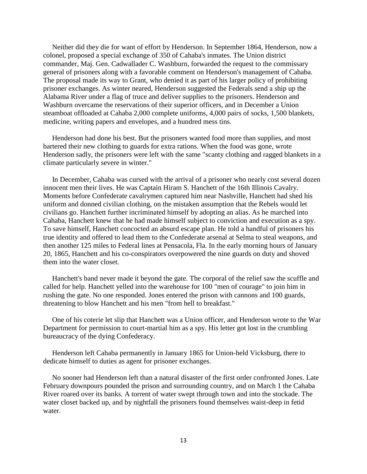Neither did they die for want of effort by Henderson. In September 1864, Henderson, now a colonel, proposed a special exchange of 350 of Cahaba's inmates. The Union district commander, Maj. Gen. Cadwallader C. Washburn, forwarded the request to the commissary general of prisoners along with a favorable comment on Henderson's management of Cahaba. The proposal made its way to Grant, who denied it as part of his larger policy of prohibiting prisoner exchanges. As winter neared, Henderson suggested the Federals send a ship up the Alabama River under a flag of truce and deliver supplies to the prisoners. Henderson and Washburn overcame the reservations of their superior officers, and in December a Union steamboat offloaded at Cahaba 2,000 complete uniforms, 4,000 pairs of socks, 1,500 blankets, medicine, writing papers and envelopes, and a hundred mess tins.

 Henderson had done his best. But the prisoners wanted food more than supplies, and most bartered their new clothing to guards for extra rations. When the food was gone, wrote Henderson sadly, the prisoners were left with the same "scanty clothing and ragged blankets in a climate particularly severe in winter."

 In December, Cahaba was cursed with the arrival of a prisoner who nearly cost several dozen innocent men their lives. He was Captain Hiram S. Hanchett of the 16th Illinois Cavalry. Moments before Confederate cavalrymen captured him near Nashville, Hanchett had shed his uniform and donned civilian clothing, on the mistaken assumption that the Rebels would let civilians go. Hanchett further incriminated himself by adopting an alias. As he marched into Cahaba, Hanchett knew that he had made himself subject to conviction and execution as a spy. To save himself, Hanchett concocted an absurd escape plan. He told a handful of prisoners his true identity and offered to lead them to the Confederate arsenal at Selma to steal weapons, and then another 125 miles to Federal lines at Pensacola, Fla. In the early morning hours of January 20, 1865, Hanchett and his co-conspirators overpowered the nine guards on duty and shoved them into the water closet.

 Hanchett's band never made it beyond the gate. The corporal of the relief saw the scuffle and called for help. Hanchett yelled into the warehouse for 100 "men of courage" to join him in rushing the gate. No one responded. Jones entered the prison with cannons and 100 guards, threatening to blow Hanchett and his men "from hell to breakfast."

 One of his coterie let slip that Hanchett was a Union officer, and Henderson wrote to the War Department for permission to court-martial him as a spy. His letter got lost in the crumbling bureaucracy of the dying Confederacy.

 Henderson left Cahaba permanently in January 1865 for Union-held Vicksburg, there to dedicate himself to duties as agent for prisoner exchanges.

 No sooner had Henderson left than a natural disaster of the first order confronted Jones. Late February downpours pounded the prison and surrounding country, and on March 1 the Cahaba River roared over its banks. A torrent of water swept through town and into the stockade. The water closet backed up, and by nightfall the prisoners found themselves waist-deep in fetid water.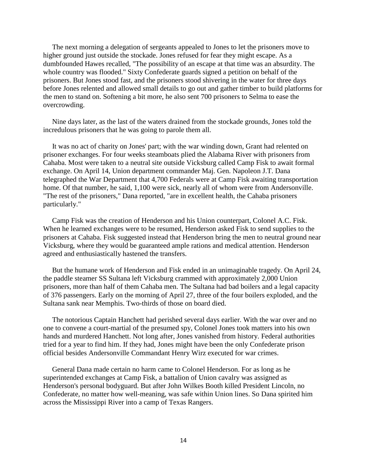The next morning a delegation of sergeants appealed to Jones to let the prisoners move to higher ground just outside the stockade. Jones refused for fear they might escape. As a dumbfounded Hawes recalled, "The possibility of an escape at that time was an absurdity. The whole country was flooded." Sixty Confederate guards signed a petition on behalf of the prisoners. But Jones stood fast, and the prisoners stood shivering in the water for three days before Jones relented and allowed small details to go out and gather timber to build platforms for the men to stand on. Softening a bit more, he also sent 700 prisoners to Selma to ease the overcrowding.

 Nine days later, as the last of the waters drained from the stockade grounds, Jones told the incredulous prisoners that he was going to parole them all.

 It was no act of charity on Jones' part; with the war winding down, Grant had relented on prisoner exchanges. For four weeks steamboats plied the Alabama River with prisoners from Cahaba. Most were taken to a neutral site outside Vicksburg called Camp Fisk to await formal exchange. On April 14, Union department commander Maj. Gen. Napoleon J.T. Dana telegraphed the War Department that 4,700 Federals were at Camp Fisk awaiting transportation home. Of that number, he said, 1,100 were sick, nearly all of whom were from Andersonville. "The rest of the prisoners," Dana reported, "are in excellent health, the Cahaba prisoners particularly."

 Camp Fisk was the creation of Henderson and his Union counterpart, Colonel A.C. Fisk. When he learned exchanges were to be resumed, Henderson asked Fisk to send supplies to the prisoners at Cahaba. Fisk suggested instead that Henderson bring the men to neutral ground near Vicksburg, where they would be guaranteed ample rations and medical attention. Henderson agreed and enthusiastically hastened the transfers.

 But the humane work of Henderson and Fisk ended in an unimaginable tragedy. On April 24, the paddle steamer SS Sultana left Vicksburg crammed with approximately 2,000 Union prisoners, more than half of them Cahaba men. The Sultana had bad boilers and a legal capacity of 376 passengers. Early on the morning of April 27, three of the four boilers exploded, and the Sultana sank near Memphis. Two-thirds of those on board died.

 The notorious Captain Hanchett had perished several days earlier. With the war over and no one to convene a court-martial of the presumed spy, Colonel Jones took matters into his own hands and murdered Hanchett. Not long after, Jones vanished from history. Federal authorities tried for a year to find him. If they had, Jones might have been the only Confederate prison official besides Andersonville Commandant Henry Wirz executed for war crimes.

 General Dana made certain no harm came to Colonel Henderson. For as long as he superintended exchanges at Camp Fisk, a battalion of Union cavalry was assigned as Henderson's personal bodyguard. But after John Wilkes Booth killed President Lincoln, no Confederate, no matter how well-meaning, was safe within Union lines. So Dana spirited him across the Mississippi River into a camp of Texas Rangers.